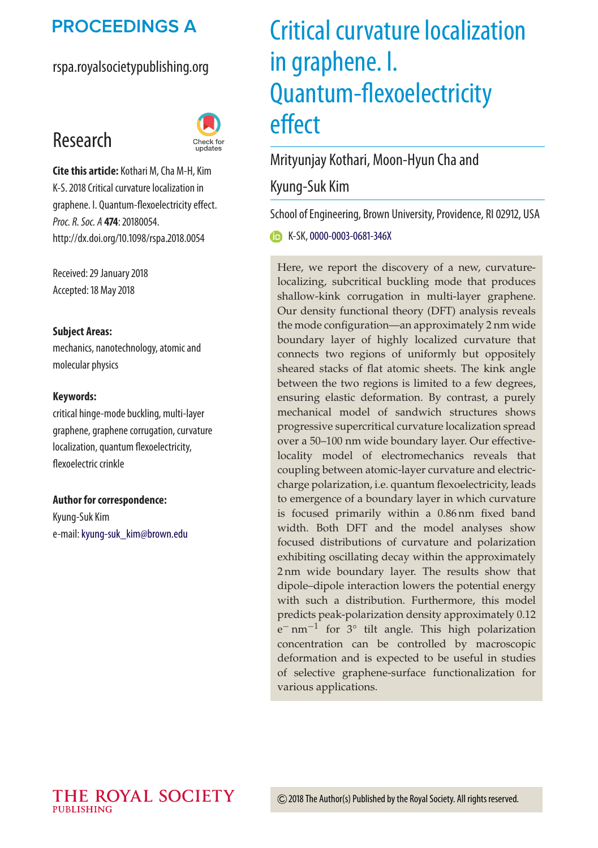# **PROCEEDINGS A**

#### rspa.royalsocietypublishing.org

# Research



**Cite this article:** Kothari M, Cha M-H, Kim K-S. 2018 Critical curvature localization in graphene. I. Quantum-flexoelectricity effect. *Proc. R. Soc. A* **474**: 20180054. http://dx.doi.org/10.1098/rspa.2018.0054

Received: 29 January 2018 Accepted: 18 May 2018

#### **Subject Areas:**

mechanics, nanotechnology, atomic and molecular physics

#### **Keywords:**

critical hinge-mode buckling, multi-layer graphene, graphene corrugation, curvature localization, quantum flexoelectricity, flexoelectric crinkle

#### **Author for correspondence:**

Kyung-Suk Kim e-mail: [kyung-suk\\_kim@brown.edu](mailto:kyung-suk_kim@brown.edu)

# Critical curvature localization in graphene. I. Quantum-flexoelectricity effect

## Mrityunjay Kothari, Moon-Hyun Cha and

#### Kyung-Suk Kim

School of Engineering, Brown University, Providence, RI 02912, USA

**K-SK,[0000-0003-0681-346X](http://orcid.org/0000-0003-0681-346X)** 

Here, we report the discovery of a new, curvaturelocalizing, subcritical buckling mode that produces shallow-kink corrugation in multi-layer graphene. Our density functional theory (DFT) analysis reveals the mode configuration—an approximately 2 nm wide boundary layer of highly localized curvature that connects two regions of uniformly but oppositely sheared stacks of flat atomic sheets. The kink angle between the two regions is limited to a few degrees, ensuring elastic deformation. By contrast, a purely mechanical model of sandwich structures shows progressive supercritical curvature localization spread over a 50–100 nm wide boundary layer. Our effectivelocality model of electromechanics reveals that coupling between atomic-layer curvature and electriccharge polarization, i.e. quantum flexoelectricity, leads to emergence of a boundary layer in which curvature is focused primarily within a 0.86 nm fixed band width. Both DFT and the model analyses show focused distributions of curvature and polarization exhibiting oscillating decay within the approximately 2 nm wide boundary layer. The results show that dipole–dipole interaction lowers the potential energy with such a distribution. Furthermore, this model predicts peak-polarization density approximately 0.12  $e$ <sup>-</sup> nm<sup>-1</sup> for 3° tilt angle. This high polarization concentration can be controlled by macroscopic deformation and is expected to be useful in studies of selective graphene-surface functionalization for various applications.

#### THE ROYAL SOCIETY PHRI ISHING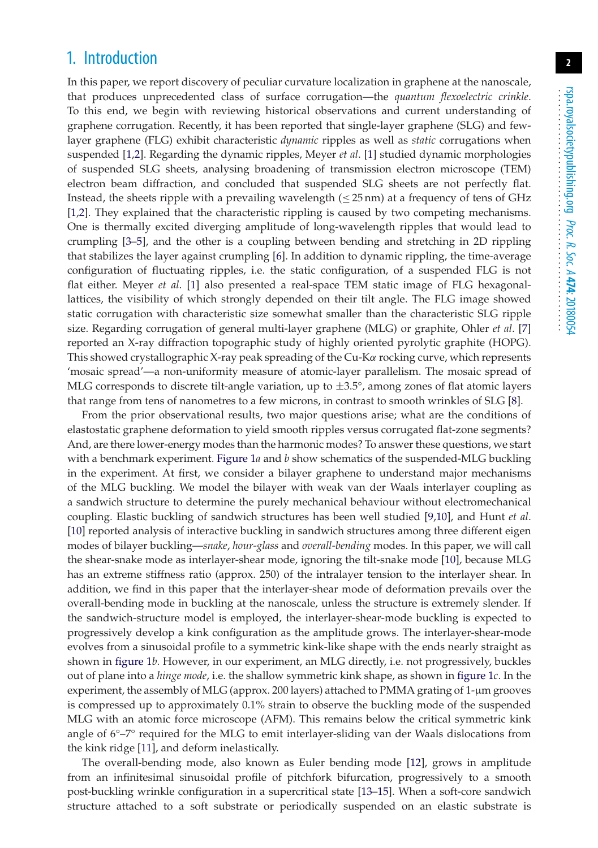# 1. Introduction

In this paper, we report discovery of peculiar curvature localization in graphene at the nanoscale, that produces unprecedented class of surface corrugation—the *quantum flexoelectric crinkle*. To this end, we begin with reviewing historical observations and current understanding of graphene corrugation. Recently, it has been reported that single-layer graphene (SLG) and fewlayer graphene (FLG) exhibit characteristic *dynamic* ripples as well as *static* corrugations when suspended [\[1,](#page-17-0)[2\]](#page-17-1). Regarding the dynamic ripples, Meyer *et al*. [\[1\]](#page-17-0) studied dynamic morphologies of suspended SLG sheets, analysing broadening of transmission electron microscope (TEM) electron beam diffraction, and concluded that suspended SLG sheets are not perfectly flat. Instead, the sheets ripple with a prevailing wavelength  $(\leq 25 \text{ nm})$  at a frequency of tens of GHz [\[1](#page-17-0)[,2\]](#page-17-1). They explained that the characteristic rippling is caused by two competing mechanisms. One is thermally excited diverging amplitude of long-wavelength ripples that would lead to crumpling [\[3](#page-17-2)[–5\]](#page-17-3), and the other is a coupling between bending and stretching in 2D rippling that stabilizes the layer against crumpling [\[6\]](#page-17-4). In addition to dynamic rippling, the time-average configuration of fluctuating ripples, i.e. the static configuration, of a suspended FLG is not flat either. Meyer *et al*. [\[1\]](#page-17-0) also presented a real-space TEM static image of FLG hexagonallattices, the visibility of which strongly depended on their tilt angle. The FLG image showed static corrugation with characteristic size somewhat smaller than the characteristic SLG ripple size. Regarding corrugation of general multi-layer graphene (MLG) or graphite, Ohler *et al*. [\[7\]](#page-17-5) reported an X-ray diffraction topographic study of highly oriented pyrolytic graphite (HOPG). This showed crystallographic X-ray peak spreading of the Cu-K $\alpha$  rocking curve, which represents 'mosaic spread'—a non-uniformity measure of atomic-layer parallelism. The mosaic spread of MLG corresponds to discrete tilt-angle variation, up to  $\pm 3.5^{\circ}$ , among zones of flat atomic layers that range from tens of nanometres to a few microns, in contrast to smooth wrinkles of SLG [\[8\]](#page-17-6).

From the prior observational results, two major questions arise; what are the conditions of elastostatic graphene deformation to yield smooth ripples versus corrugated flat-zone segments? And, are there lower-energy modes than the harmonic modes? To answer these questions, we start with a benchmark experiment. [Figure 1](#page-2-0)*a* and *b* show schematics of the suspended-MLG buckling in the experiment. At first, we consider a bilayer graphene to understand major mechanisms of the MLG buckling. We model the bilayer with weak van der Waals interlayer coupling as a sandwich structure to determine the purely mechanical behaviour without electromechanical coupling. Elastic buckling of sandwich structures has been well studied [\[9,](#page-17-7)[10\]](#page-17-8), and Hunt *et al*. [\[10\]](#page-17-8) reported analysis of interactive buckling in sandwich structures among three different eigen modes of bilayer buckling—*snake*, *hour-glass* and *overall-bending* modes. In this paper, we will call the shear-snake mode as interlayer-shear mode, ignoring the tilt-snake mode [\[10\]](#page-17-8), because MLG has an extreme stiffness ratio (approx. 250) of the intralayer tension to the interlayer shear. In addition, we find in this paper that the interlayer-shear mode of deformation prevails over the overall-bending mode in buckling at the nanoscale, unless the structure is extremely slender. If the sandwich-structure model is employed, the interlayer-shear-mode buckling is expected to progressively develop a kink configuration as the amplitude grows. The interlayer-shear-mode evolves from a sinusoidal profile to a symmetric kink-like shape with the ends nearly straight as shown in [figure 1](#page-2-0)*b*. However, in our experiment, an MLG directly, i.e. not progressively, buckles out of plane into a *hinge mode*, i.e. the shallow symmetric kink shape, as shown in [figure 1](#page-2-0)*c*. In the experiment, the assembly of MLG (approx. 200 layers) attached to PMMA grating of 1-µm grooves is compressed up to approximately 0.1% strain to observe the buckling mode of the suspended MLG with an atomic force microscope (AFM). This remains below the critical symmetric kink angle of 6°–7° required for the MLG to emit interlayer-sliding van der Waals dislocations from the kink ridge [\[11\]](#page-17-9), and deform inelastically.

The overall-bending mode, also known as Euler bending mode [\[12\]](#page-17-10), grows in amplitude from an infinitesimal sinusoidal profile of pitchfork bifurcation, progressively to a smooth post-buckling wrinkle configuration in a supercritical state [\[13–](#page-17-11)[15\]](#page-17-12). When a soft-core sandwich structure attached to a soft substrate or periodically suspended on an elastic substrate is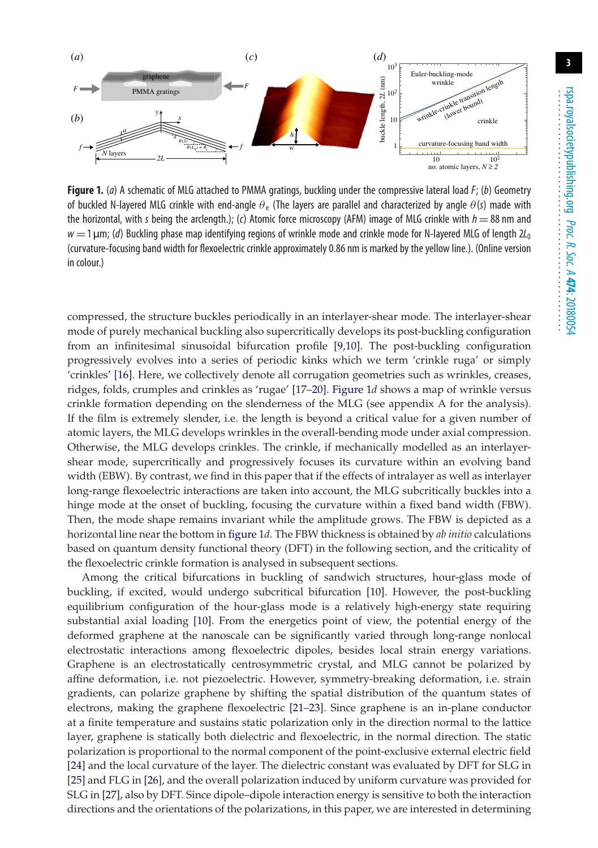<span id="page-2-0"></span>

**Figure 1.** (*a*) A schematic of MLG attached to PMMA gratings, buckling under the compressive lateral load *F*; (*b*) Geometry of buckled N-layered MLG crinkle with end-angle θ<sup>e</sup> (The layers are parallel and characterized by angle θ(*s*) made with the horizontal, with *s* being the arclength.); (*c*) Atomic force microscopy (AFM) image of MLG crinkle with  $h = 88$  nm and  $w = 1 \mu$ m; (*d*) Buckling phase map identifying regions of wrinkle mode and crinkle mode for N-layered MLG of length 2*L*<sub>0</sub> (curvature-focusing band width for flexoelectric crinkle approximately 0.86 nm is marked by the yellow line.). (Online version in colour.)

compressed, the structure buckles periodically in an interlayer-shear mode. The interlayer-shear mode of purely mechanical buckling also supercritically develops its post-buckling configuration from an infinitesimal sinusoidal bifurcation profile [\[9](#page-17-7)[,10\]](#page-17-8). The post-buckling configuration progressively evolves into a series of periodic kinks which we term 'crinkle ruga' or simply 'crinkles' [\[16\]](#page-17-13). Here, we collectively denote all corrugation geometries such as wrinkles, creases, ridges, folds, crumples and crinkles as 'rugae' [\[17](#page-17-14)[–20\]](#page-17-15). [Figure 1](#page-2-0)*d* shows a map of wrinkle versus crinkle formation depending on the slenderness of the MLG (see appendix A for the analysis). If the film is extremely slender, i.e. the length is beyond a critical value for a given number of atomic layers, the MLG develops wrinkles in the overall-bending mode under axial compression. Otherwise, the MLG develops crinkles. The crinkle, if mechanically modelled as an interlayershear mode, supercritically and progressively focuses its curvature within an evolving band width (EBW). By contrast, we find in this paper that if the effects of intralayer as well as interlayer long-range flexoelectric interactions are taken into account, the MLG subcritically buckles into a hinge mode at the onset of buckling, focusing the curvature within a fixed band width (FBW). Then, the mode shape remains invariant while the amplitude grows. The FBW is depicted as a horizontal line near the bottom in [figure 1](#page-2-0)*d*. The FBW thickness is obtained by *ab initio* calculations based on quantum density functional theory (DFT) in the following section, and the criticality of the flexoelectric crinkle formation is analysed in subsequent sections.

Among the critical bifurcations in buckling of sandwich structures, hour-glass mode of buckling, if excited, would undergo subcritical bifurcation [\[10\]](#page-17-8). However, the post-buckling equilibrium configuration of the hour-glass mode is a relatively high-energy state requiring substantial axial loading [\[10\]](#page-17-8). From the energetics point of view, the potential energy of the deformed graphene at the nanoscale can be significantly varied through long-range nonlocal electrostatic interactions among flexoelectric dipoles, besides local strain energy variations. Graphene is an electrostatically centrosymmetric crystal, and MLG cannot be polarized by affine deformation, i.e. not piezoelectric. However, symmetry-breaking deformation, i.e. strain gradients, can polarize graphene by shifting the spatial distribution of the quantum states of electrons, making the graphene flexoelectric [\[21–](#page-17-16)[23\]](#page-17-17). Since graphene is an in-plane conductor at a finite temperature and sustains static polarization only in the direction normal to the lattice layer, graphene is statically both dielectric and flexoelectric, in the normal direction. The static polarization is proportional to the normal component of the point-exclusive external electric field [\[24\]](#page-17-18) and the local curvature of the layer. The dielectric constant was evaluated by DFT for SLG in [\[25\]](#page-17-19) and FLG in [\[26\]](#page-17-20), and the overall polarization induced by uniform curvature was provided for SLG in [\[27\]](#page-17-21), also by DFT. Since dipole–dipole interaction energy is sensitive to both the interaction directions and the orientations of the polarizations, in this paper, we are interested in determining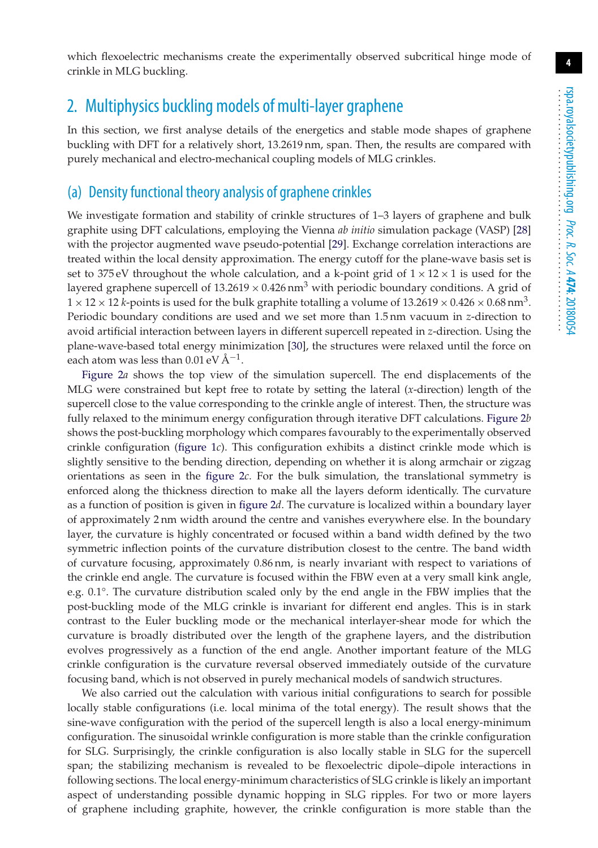which flexoelectric mechanisms create the experimentally observed subcritical hinge mode of crinkle in MLG buckling.

# 2. Multiphysics buckling models of multi-layer graphene

In this section, we first analyse details of the energetics and stable mode shapes of graphene buckling with DFT for a relatively short, 13.2619 nm, span. Then, the results are compared with purely mechanical and electro-mechanical coupling models of MLG crinkles.

#### (a) Density functional theory analysis of graphene crinkles

We investigate formation and stability of crinkle structures of 1–3 layers of graphene and bulk graphite using DFT calculations, employing the Vienna *ab initio* simulation package (VASP) [\[28\]](#page-18-0) with the projector augmented wave pseudo-potential [\[29\]](#page-18-1). Exchange correlation interactions are treated within the local density approximation. The energy cutoff for the plane-wave basis set is set to 375 eV throughout the whole calculation, and a k-point grid of  $1 \times 12 \times 1$  is used for the layered graphene supercell of  $13.2619 \times 0.426$  nm<sup>3</sup> with periodic boundary conditions. A grid of  $1 \times 12 \times 12$  *k*-points is used for the bulk graphite totalling a volume of  $13.2619 \times 0.426 \times 0.68$  nm<sup>3</sup>. Periodic boundary conditions are used and we set more than 1.5 nm vacuum in *z*-direction to avoid artificial interaction between layers in different supercell repeated in *z*-direction. Using the plane-wave-based total energy minimization [\[30\]](#page-18-2), the structures were relaxed until the force on each atom was less than  $0.01 \text{ eV} \text{ Å}^{-1}$ .

[Figure 2](#page-4-0)*a* shows the top view of the simulation supercell. The end displacements of the MLG were constrained but kept free to rotate by setting the lateral (*x*-direction) length of the supercell close to the value corresponding to the crinkle angle of interest. Then, the structure was fully relaxed to the minimum energy configuration through iterative DFT calculations. [Figure 2](#page-4-0)*b* shows the post-buckling morphology which compares favourably to the experimentally observed crinkle configuration [\(figure 1](#page-2-0)*c*). This configuration exhibits a distinct crinkle mode which is slightly sensitive to the bending direction, depending on whether it is along armchair or zigzag orientations as seen in the [figure 2](#page-4-0)*c*. For the bulk simulation, the translational symmetry is enforced along the thickness direction to make all the layers deform identically. The curvature as a function of position is given in [figure 2](#page-4-0)*d*. The curvature is localized within a boundary layer of approximately 2 nm width around the centre and vanishes everywhere else. In the boundary layer, the curvature is highly concentrated or focused within a band width defined by the two symmetric inflection points of the curvature distribution closest to the centre. The band width of curvature focusing, approximately 0.86 nm, is nearly invariant with respect to variations of the crinkle end angle. The curvature is focused within the FBW even at a very small kink angle, e.g. 0.1°. The curvature distribution scaled only by the end angle in the FBW implies that the post-buckling mode of the MLG crinkle is invariant for different end angles. This is in stark contrast to the Euler buckling mode or the mechanical interlayer-shear mode for which the curvature is broadly distributed over the length of the graphene layers, and the distribution evolves progressively as a function of the end angle. Another important feature of the MLG crinkle configuration is the curvature reversal observed immediately outside of the curvature focusing band, which is not observed in purely mechanical models of sandwich structures.

We also carried out the calculation with various initial configurations to search for possible locally stable configurations (i.e. local minima of the total energy). The result shows that the sine-wave configuration with the period of the supercell length is also a local energy-minimum configuration. The sinusoidal wrinkle configuration is more stable than the crinkle configuration for SLG. Surprisingly, the crinkle configuration is also locally stable in SLG for the supercell span; the stabilizing mechanism is revealed to be flexoelectric dipole–dipole interactions in following sections. The local energy-minimum characteristics of SLG crinkle is likely an important aspect of understanding possible dynamic hopping in SLG ripples. For two or more layers of graphene including graphite, however, the crinkle configuration is more stable than the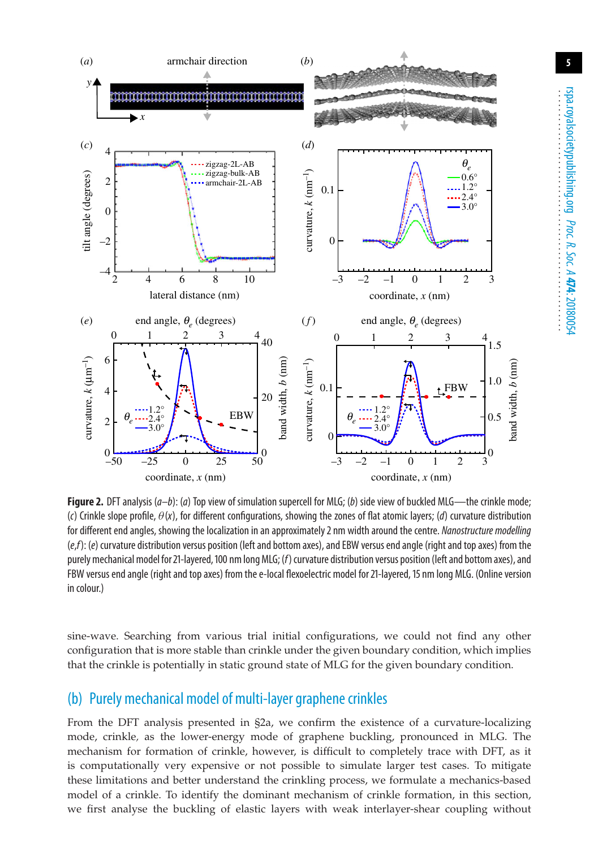<span id="page-4-0"></span>

**Figure 2.** DFT analysis  $(a-b)$ :  $(a)$  Top view of simulation supercell for MLG; (*b*) side view of buckled MLG—the crinkle mode; (*c*) Crinkle slope profile, θ(*x*), for different configurations, showing the zones of flat atomic layers; (*d*) curvature distribution for different end angles, showing the localization in an approximately 2 nm width around the centre. *Nanostructure modelling* (*e*,*f*): (*e*) curvature distribution versus position (left and bottom axes), and EBW versus end angle (right and top axes) from the purely mechanical model for 21-layered,100 nm long MLG; (*f*) curvature distribution versus position (left and bottom axes), and FBW versus end angle (right and top axes) from the e-local flexoelectric model for 21-layered, 15 nm long MLG. (Online version in colour.)

sine-wave. Searching from various trial initial configurations, we could not find any other configuration that is more stable than crinkle under the given boundary condition, which implies that the crinkle is potentially in static ground state of MLG for the given boundary condition.

#### (b) Purely mechanical model of multi-layer graphene crinkles

From the DFT analysis presented in §2a, we confirm the existence of a curvature-localizing mode, crinkle*,* as the lower-energy mode of graphene buckling, pronounced in MLG. The mechanism for formation of crinkle, however, is difficult to completely trace with DFT, as it is computationally very expensive or not possible to simulate larger test cases. To mitigate these limitations and better understand the crinkling process, we formulate a mechanics-based model of a crinkle. To identify the dominant mechanism of crinkle formation, in this section, we first analyse the buckling of elastic layers with weak interlayer-shear coupling without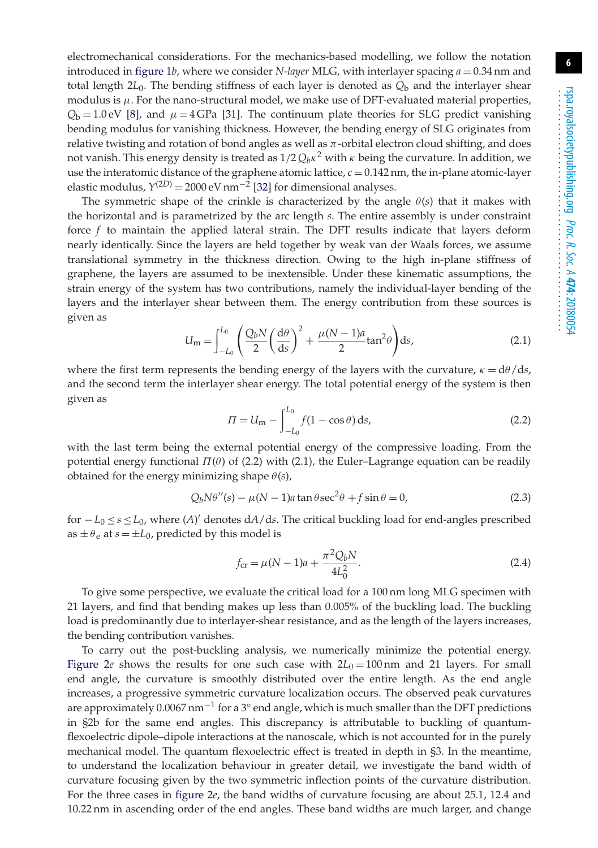electromechanical considerations. For the mechanics-based modelling, we follow the notation introduced in [figure 1](#page-2-0)*b*, where we consider *N-layer* MLG, with interlayer spacing *a* = 0.34 nm and total length  $2L_0$ . The bending stiffness of each layer is denoted as  $Q<sub>b</sub>$  and the interlayer shear modulus is  $\mu$ . For the nano-structural model, we make use of DFT-evaluated material properties,  $Q_{\rm b} = 1.0$  eV [\[8\]](#page-17-6), and  $\mu = 4$  GPa [\[31\]](#page-18-3). The continuum plate theories for SLG predict vanishing bending modulus for vanishing thickness. However, the bending energy of SLG originates from relative twisting and rotation of bond angles as well as  $\pi$ -orbital electron cloud shifting, and does not vanish. This energy density is treated as  $1/2 Q_b \kappa^2$  with  $\kappa$  being the curvature. In addition, we use the interatomic distance of the graphene atomic lattice,  $c = 0.142$  nm, the in-plane atomic-layer elastic modulus,  $Y^{(2D)} = 2000 \text{ eV} \text{ nm}^{-2}$  [\[32\]](#page-18-4) for dimensional analyses.

The symmetric shape of the crinkle is characterized by the angle  $\theta(s)$  that it makes with the horizontal and is parametrized by the arc length *s*. The entire assembly is under constraint force *f* to maintain the applied lateral strain. The DFT results indicate that layers deform nearly identically. Since the layers are held together by weak van der Waals forces, we assume translational symmetry in the thickness direction. Owing to the high in-plane stiffness of graphene, the layers are assumed to be inextensible. Under these kinematic assumptions, the strain energy of the system has two contributions, namely the individual-layer bending of the layers and the interlayer shear between them. The energy contribution from these sources is given as

$$
U_{\rm m} = \int_{-L_0}^{L_0} \left( \frac{Q_b N}{2} \left( \frac{d\theta}{ds} \right)^2 + \frac{\mu (N - 1)a}{2} \tan^2 \theta \right) ds,\tag{2.1}
$$

where the first term represents the bending energy of the layers with the curvature,  $\kappa = d\theta/ds$ , and the second term the interlayer shear energy. The total potential energy of the system is then given as

$$
\Pi = U_{\rm m} - \int_{-L_0}^{L_0} f(1 - \cos \theta) \, \mathrm{d}s,\tag{2.2}
$$

with the last term being the external potential energy of the compressive loading. From the potential energy functional  $\Pi(\theta)$  of (2.2) with (2.1), the Euler–Lagrange equation can be readily obtained for the energy minimizing shape  $\theta(s)$ ,

$$
Q_b N \theta''(s) - \mu (N - 1)a \tan \theta \sec^2 \theta + f \sin \theta = 0,
$$
\n(2.3)

for − *L*<sup>0</sup> ≤ *s* ≤ *L*0, where (*A*) denotes d*A*/d*s*. The critical buckling load for end-angles prescribed as  $\pm \theta_e$  at  $s = \pm L_0$ , predicted by this model is

$$
f_{\rm cr} = \mu (N - 1)a + \frac{\pi^2 Q_b N}{4L_0^2}.
$$
 (2.4)

To give some perspective, we evaluate the critical load for a 100 nm long MLG specimen with 21 layers, and find that bending makes up less than 0.005% of the buckling load. The buckling load is predominantly due to interlayer-shear resistance, and as the length of the layers increases, the bending contribution vanishes.

To carry out the post-buckling analysis, we numerically minimize the potential energy. [Figure 2](#page-4-0)e shows the results for one such case with  $2L<sub>0</sub> = 100$  nm and 21 layers. For small end angle, the curvature is smoothly distributed over the entire length. As the end angle increases, a progressive symmetric curvature localization occurs. The observed peak curvatures are approximately 0.0067 nm<sup>-1</sup> for a 3° end angle, which is much smaller than the DFT predictions in §2b for the same end angles. This discrepancy is attributable to buckling of quantumflexoelectric dipole–dipole interactions at the nanoscale, which is not accounted for in the purely mechanical model. The quantum flexoelectric effect is treated in depth in §3. In the meantime, to understand the localization behaviour in greater detail, we investigate the band width of curvature focusing given by the two symmetric inflection points of the curvature distribution. For the three cases in [figure 2](#page-4-0)*e*, the band widths of curvature focusing are about 25.1, 12.4 and 10.22 nm in ascending order of the end angles. These band widths are much larger, and change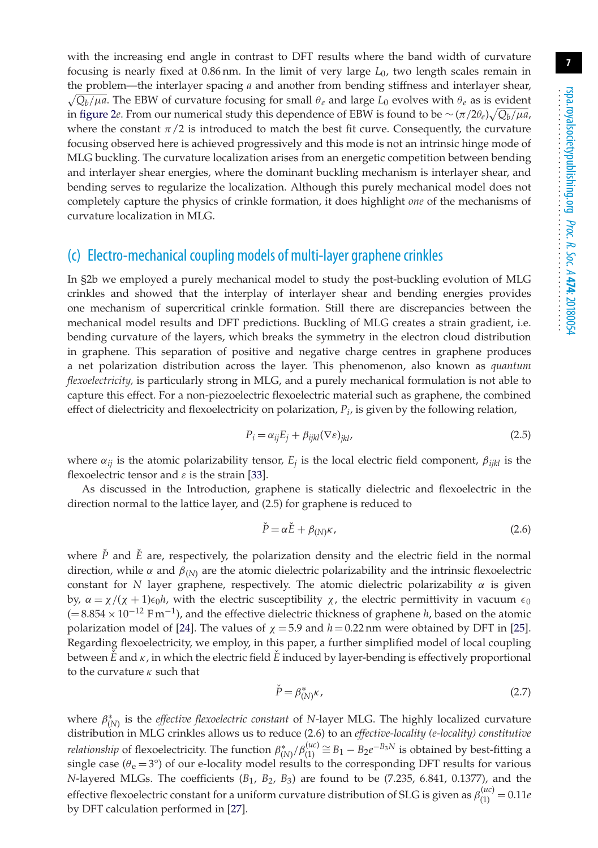with the increasing end angle in contrast to DFT results where the band width of curvature focusing is nearly fixed at 0.86 nm. In the limit of very large *L*0, two length scales remain in the problem—the interlayer spacing *a* and another from bending stiffness and interlayer shear,  $\sqrt{Q_b}/\mu a$ . The EBW of curvature focusing for small  $\theta_e$  and large  $L_0$  evolves with  $\theta_e$  as is evident in [figure 2](#page-4-0)*e*. From our numerical study this dependence of EBW is found to be ∼ (π/2θ*e*) *Qb*/μ*a*, where the constant  $\pi/2$  is introduced to match the best fit curve. Consequently, the curvature focusing observed here is achieved progressively and this mode is not an intrinsic hinge mode of MLG buckling. The curvature localization arises from an energetic competition between bending and interlayer shear energies, where the dominant buckling mechanism is interlayer shear, and bending serves to regularize the localization. Although this purely mechanical model does not completely capture the physics of crinkle formation, it does highlight *one* of the mechanisms of curvature localization in MLG.

#### (c) Electro-mechanical coupling models of multi-layer graphene crinkles

In §2b we employed a purely mechanical model to study the post-buckling evolution of MLG crinkles and showed that the interplay of interlayer shear and bending energies provides one mechanism of supercritical crinkle formation. Still there are discrepancies between the mechanical model results and DFT predictions. Buckling of MLG creates a strain gradient, i.e. bending curvature of the layers, which breaks the symmetry in the electron cloud distribution in graphene. This separation of positive and negative charge centres in graphene produces a net polarization distribution across the layer. This phenomenon, also known as *quantum flexoelectricity,* is particularly strong in MLG, and a purely mechanical formulation is not able to capture this effect. For a non-piezoelectric flexoelectric material such as graphene, the combined effect of dielectricity and flexoelectricity on polarization, *Pi*, is given by the following relation,

$$
P_i = \alpha_{ij} E_j + \beta_{ijkl} (\nabla \varepsilon)_{jkl},
$$
\n(2.5)

where  $\alpha_{ij}$  is the atomic polarizability tensor,  $E_j$  is the local electric field component,  $\beta_{ijkl}$  is the flexoelectric tensor and  $\varepsilon$  is the strain [\[33\]](#page-18-5).

As discussed in the Introduction, graphene is statically dielectric and flexoelectric in the direction normal to the lattice layer, and (2.5) for graphene is reduced to

$$
\check{P} = \alpha \check{E} + \beta_{(N)} \kappa, \tag{2.6}
$$

where  $\check{P}$  and  $\check{E}$  are, respectively, the polarization density and the electric field in the normal direction, while  $\alpha$  and  $\beta_{(N)}$  are the atomic dielectric polarizability and the intrinsic flexoelectric constant for *N* layer graphene, respectively. The atomic dielectric polarizability  $\alpha$  is given by,  $\alpha = \chi/(\chi + 1)\epsilon_0 h$ , with the electric susceptibility  $\chi$ , the electric permittivity in vacuum  $\epsilon_0$ (= 8.854 × 10−<sup>12</sup> F m<sup>−</sup>1), and the effective dielectric thickness of graphene *h*, based on the atomic polarization model of [\[24\]](#page-17-18). The values of  $\chi = 5.9$  and  $h = 0.22$  nm were obtained by DFT in [\[25\]](#page-17-19). Regarding flexoelectricity, we employ, in this paper, a further simplified model of local coupling between  $E$  and  $\kappa$ , in which the electric field  $E$  induced by layer-bending is effectively proportional to the curvature  $\kappa$  such that

$$
\check{P} = \beta^*_{(N)} \kappa, \tag{2.7}
$$

where β<sup>∗</sup> (*N*) is the *effective flexoelectric constant* of *N*-layer MLG. The highly localized curvature distribution in MLG crinkles allows us to reduce (2.6) to an *effective-locality (e-locality) constitutive relationship* of flexoelectricity. The function  $\beta_{(N)}^*/\beta_{(1)}^{(uc)} \cong B_1 - B_2e^{-B_3N}$  is obtained by best-fitting a single case ( $\theta_e = 3^\circ$ ) of our e-locality model results to the corresponding DFT results for various *N*-layered MLGs. The coefficients (*B*1, *B*2, *B*3) are found to be (7.235, 6.841, 0.1377), and the effective flexoelectric constant for a uniform curvature distribution of SLG is given as  $\beta_{(1)}^{(uc)} = 0.11e$ by DFT calculation performed in [\[27\]](#page-17-21).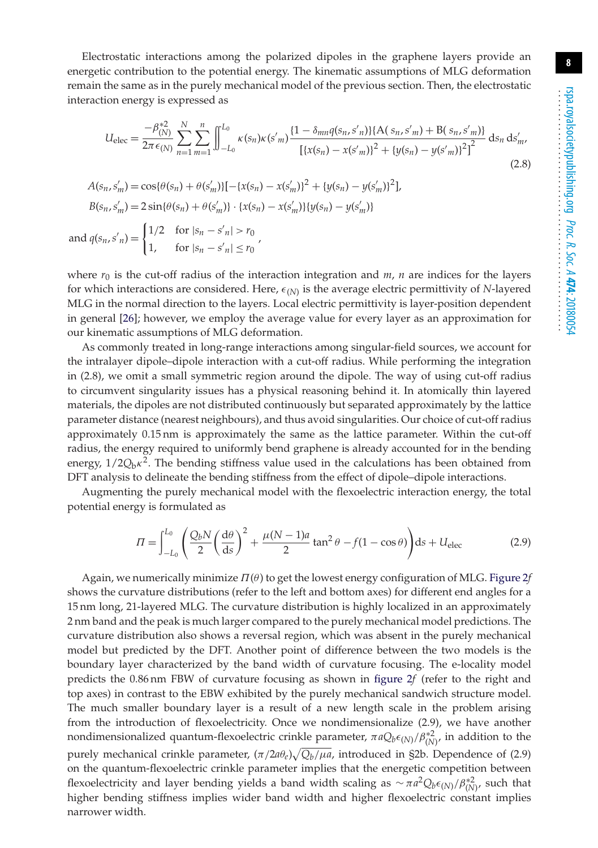Electrostatic interactions among the polarized dipoles in the graphene layers provide an energetic contribution to the potential energy. The kinematic assumptions of MLG deformation remain the same as in the purely mechanical model of the previous section. Then, the electrostatic interaction energy is expressed as

$$
U_{\text{elec}} = \frac{-\beta_{(N)}^{*2}}{2\pi \epsilon_{(N)}} \sum_{n=1}^{N} \sum_{m=1}^{n} \iint_{-L_{0}}^{L_{0}} \kappa(s_{n}) \kappa(s'_{m}) \frac{\{1 - \delta_{mn} q(s_{n}, s'_{n})\} \{A(s_{n}, s'_{m}) + B(s_{n}, s'_{m})\}}{\left[\{x(s_{n}) - x(s'_{m})\}^{2} + \{y(s_{n}) - y(s'_{m})\}^{2}\right]^{2}} ds_{n} ds'_{m},
$$
\n
$$
A(s_{n}, s'_{m}) = \cos\{\theta(s_{n}) + \theta(s'_{m})\} [-\{x(s_{n}) - x(s'_{m})\}^{2} + \{y(s_{n}) - y(s'_{m})\}^{2}\},
$$
\n
$$
B(s_{n}, s'_{m}) = 2 \sin\{\theta(s_{n}) + \theta(s'_{m})\} \cdot \{x(s_{n}) - x(s'_{m})\} \{y(s_{n}) - y(s'_{m})\}
$$
\n
$$
(2.8)
$$

and  $q(s_n, s'_n) =$  $\int 1/2$  for  $|s_n - s'_n| > r_0$ 1, for  $|s_n - s'_n| \le r_0'$ 

where  $r_0$  is the cut-off radius of the interaction integration and  $m$ ,  $n$  are indices for the layers for which interactions are considered. Here,  $\epsilon_{(N)}$  is the average electric permittivity of *N*-layered MLG in the normal direction to the layers. Local electric permittivity is layer-position dependent in general [\[26\]](#page-17-20); however, we employ the average value for every layer as an approximation for our kinematic assumptions of MLG deformation.

As commonly treated in long-range interactions among singular-field sources, we account for the intralayer dipole–dipole interaction with a cut-off radius. While performing the integration in (2.8), we omit a small symmetric region around the dipole. The way of using cut-off radius to circumvent singularity issues has a physical reasoning behind it. In atomically thin layered materials, the dipoles are not distributed continuously but separated approximately by the lattice parameter distance (nearest neighbours), and thus avoid singularities. Our choice of cut-off radius approximately 0.15 nm is approximately the same as the lattice parameter. Within the cut-off radius, the energy required to uniformly bend graphene is already accounted for in the bending energy,  $1/2Q_b\kappa^2$ . The bending stiffness value used in the calculations has been obtained from DFT analysis to delineate the bending stiffness from the effect of dipole–dipole interactions.

Augmenting the purely mechanical model with the flexoelectric interaction energy, the total potential energy is formulated as

$$
\Pi = \int_{-L_0}^{L_0} \left( \frac{Q_b N}{2} \left( \frac{d\theta}{ds} \right)^2 + \frac{\mu (N - 1)a}{2} \tan^2 \theta - f(1 - \cos \theta) \right) ds + U_{\text{elec}} \tag{2.9}
$$

Again, we numerically minimize  $\Pi(\theta)$  to get the lowest energy configuration of MLG. [Figure 2](#page-4-0)f shows the curvature distributions (refer to the left and bottom axes) for different end angles for a 15 nm long, 21-layered MLG. The curvature distribution is highly localized in an approximately 2 nm band and the peak is much larger compared to the purely mechanical model predictions. The curvature distribution also shows a reversal region, which was absent in the purely mechanical model but predicted by the DFT. Another point of difference between the two models is the boundary layer characterized by the band width of curvature focusing. The e-locality model predicts the 0.86 nm FBW of curvature focusing as shown in [figure 2](#page-4-0)*f* (refer to the right and top axes) in contrast to the EBW exhibited by the purely mechanical sandwich structure model. The much smaller boundary layer is a result of a new length scale in the problem arising from the introduction of flexoelectricity. Once we nondimensionalize (2.9), we have another nondimensionalized quantum-flexoelectric crinkle parameter,  $\pi a Q_b \epsilon_{(N)}/\beta_{(N)}^{*2}$ , in addition to the purely mechanical crinkle parameter,  $(\pi/2a\theta_e)\sqrt{Q_b/\mu a}$ , introduced in §2b. Dependence of (2.9) on the quantum-flexoelectric crinkle parameter implies that the energetic competition between flexoelectricity and layer bending yields a band width scaling as  $\sim \pi a^2 Q_b \epsilon_{(N)}/\beta_{(N)}^{*2}$ , such that higher bending stiffness implies wider band width and higher flexoelectric constant implies narrower width.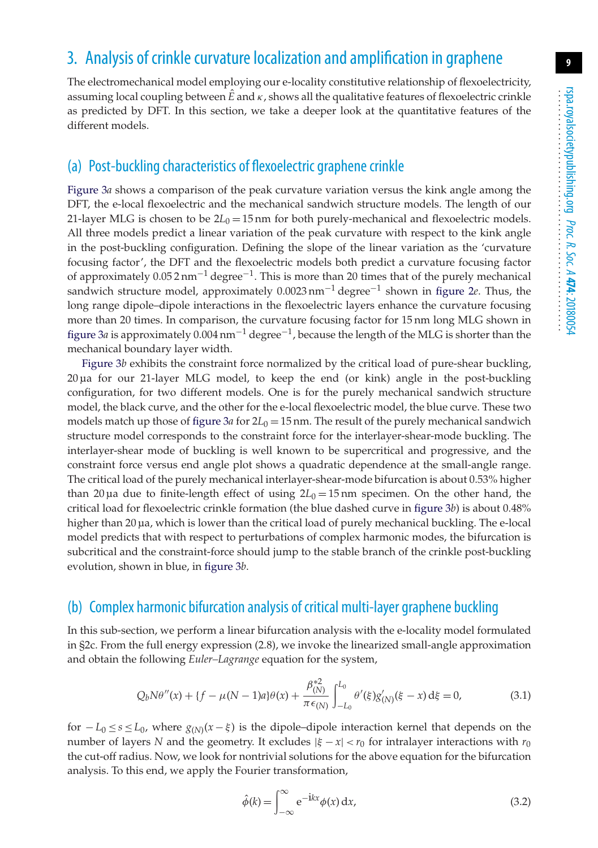# 3. Analysis of crinkle curvature localization and amplification in graphene

The electromechanical model employing our e-locality constitutive relationship of flexoelectricity, assuming local coupling between  $\hat{E}$  and  $\kappa$ , shows all the qualitative features of flexoelectric crinkle as predicted by DFT. In this section, we take a deeper look at the quantitative features of the different models.

#### (a) Post-buckling characteristics of flexoelectric graphene crinkle

[Figure 3](#page-9-0)*a* shows a comparison of the peak curvature variation versus the kink angle among the DFT, the e-local flexoelectric and the mechanical sandwich structure models. The length of our 21-layer MLG is chosen to be  $2L_0 = 15$  nm for both purely-mechanical and flexoelectric models. All three models predict a linear variation of the peak curvature with respect to the kink angle in the post-buckling configuration. Defining the slope of the linear variation as the 'curvature focusing factor', the DFT and the flexoelectric models both predict a curvature focusing factor of approximately 0.05 2 nm−<sup>1</sup> degree<sup>−</sup>1. This is more than 20 times that of the purely mechanical sandwich structure model, approximately 0.0023 nm−<sup>1</sup> degree−<sup>1</sup> shown in [figure 2](#page-4-0)*e*. Thus, the long range dipole–dipole interactions in the flexoelectric layers enhance the curvature focusing more than 20 times. In comparison, the curvature focusing factor for 15 nm long MLG shown in [figure 3](#page-9-0)*a* is approximately 0.004 nm−<sup>1</sup> degree<sup>−</sup>1, because the length of the MLG is shorter than the mechanical boundary layer width.

[Figure 3](#page-9-0)*b* exhibits the constraint force normalized by the critical load of pure-shear buckling, 20 µa for our 21-layer MLG model, to keep the end (or kink) angle in the post-buckling configuration, for two different models. One is for the purely mechanical sandwich structure model, the black curve, and the other for the e-local flexoelectric model, the blue curve. These two models match up those of figure  $3a$  for  $2L<sub>0</sub> = 15$  nm. The result of the purely mechanical sandwich structure model corresponds to the constraint force for the interlayer-shear-mode buckling. The interlayer-shear mode of buckling is well known to be supercritical and progressive, and the constraint force versus end angle plot shows a quadratic dependence at the small-angle range. The critical load of the purely mechanical interlayer-shear-mode bifurcation is about 0.53% higher than 20  $\mu$ a due to finite-length effect of using  $2L_0 = 15$  nm specimen. On the other hand, the critical load for flexoelectric crinkle formation (the blue dashed curve in [figure 3](#page-9-0)*b*) is about 0.48% higher than 20 µa, which is lower than the critical load of purely mechanical buckling. The e-local model predicts that with respect to perturbations of complex harmonic modes, the bifurcation is subcritical and the constraint-force should jump to the stable branch of the crinkle post-buckling evolution, shown in blue, in [figure 3](#page-9-0)*b*.

#### (b) Complex harmonic bifurcation analysis of critical multi-layer graphene buckling

In this sub-section, we perform a linear bifurcation analysis with the e-locality model formulated in §2c. From the full energy expression (2.8), we invoke the linearized small-angle approximation and obtain the following *Euler–Lagrange* equation for the system,

$$
Q_b N \theta''(x) + \{f - \mu (N-1)a\} \theta(x) + \frac{\beta_{(N)}^{*2}}{\pi \epsilon_{(N)}} \int_{-L_0}^{L_0} \theta'(\xi) g'_{(N)}(\xi - x) d\xi = 0, \tag{3.1}
$$

for  $-L_0 \le s \le L_0$ , where  $g_{(N)}(x - \xi)$  is the dipole–dipole interaction kernel that depends on the number of layers *N* and the geometry. It excludes  $|\xi - x| < r_0$  for intralayer interactions with  $r_0$ the cut-off radius. Now, we look for nontrivial solutions for the above equation for the bifurcation analysis. To this end, we apply the Fourier transformation,

$$
\hat{\phi}(k) = \int_{-\infty}^{\infty} e^{-ikx} \phi(x) dx,
$$
\n(3.2)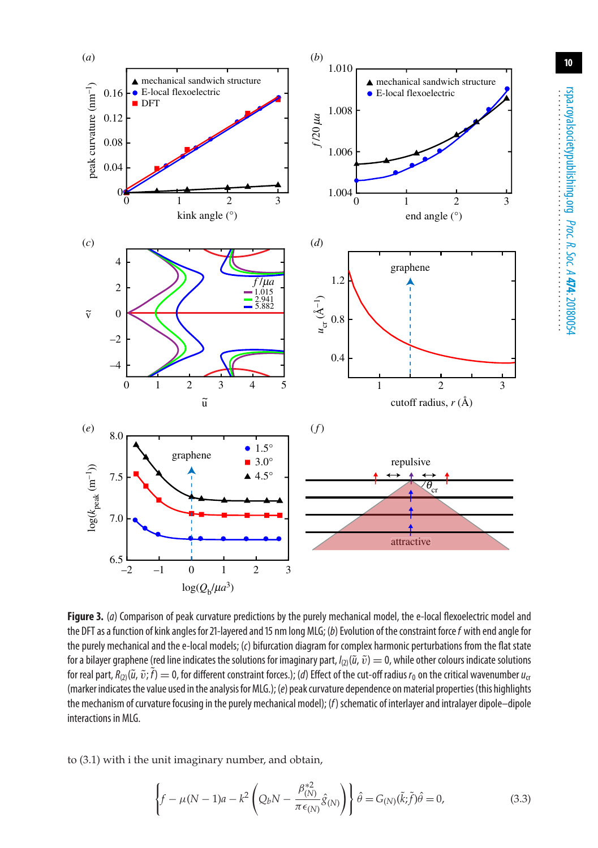<span id="page-9-0"></span>

**Figure 3.** (*a*) Comparison of peak curvature predictions by the purely mechanical model, the e-local flexoelectric model and the DFT as a function of kink angles for 21-layered and 15 nm long MLG; (*b*) Evolution of the constraint force*f* with end angle for the purely mechanical and the e-local models; (*c*) bifurcation diagram for complex harmonic perturbations from the flat state for a bilayer graphene (red line indicates the solutions for imaginary part,  $I_{(2)}(\tilde{u},\tilde{v})=0$ , while other colours indicate solutions for real part,  $R_{(2)}(\tilde{u}, \tilde{v}; \tilde{f}) = 0$ , for different constraint forces.); (*d*) Effect of the cut-off radius  $r_0$  on the critical wavenumber  $u_{cr}$ (marker indicatesthe value used inthe analysis for MLG.);(*e*) peak curvature dependence on material properties(this highlights the mechanism of curvature focusing in the purely mechanical model); (*f*) schematic of interlayer and intralayer dipole–dipole interactions in MLG.

to (3.1) with i the unit imaginary number, and obtain,

$$
\left\{ f - \mu (N - 1)a - k^2 \left( Q_b N - \frac{\beta_{(N)}^{*2}}{\pi \epsilon_{(N)}} \hat{g}_{(N)} \right) \right\} \hat{\theta} = G_{(N)}(\tilde{k}; \tilde{f}) \hat{\theta} = 0, \tag{3.3}
$$

**10**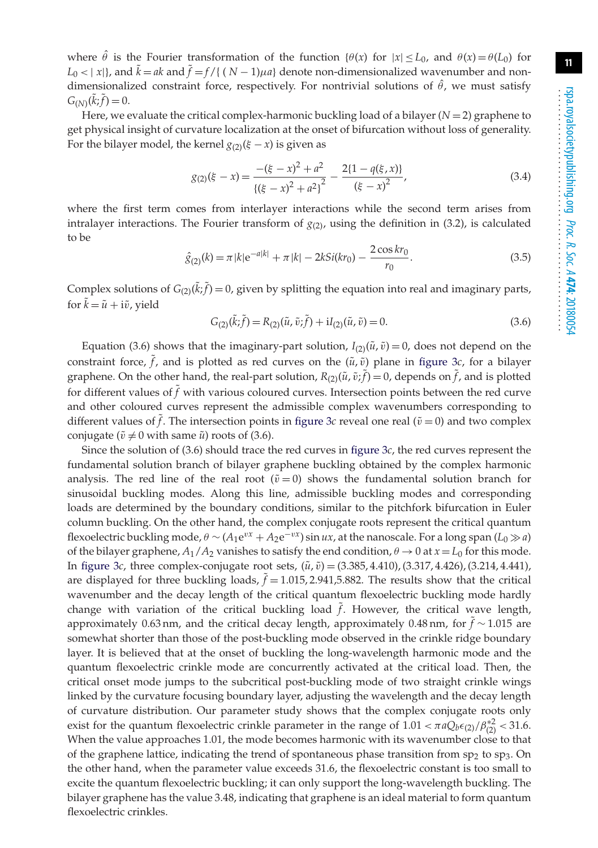where  $\hat{\theta}$  is the Fourier transformation of the function { $\theta(x)$  for  $|x| \le L_0$ , and  $\theta(x) = \theta(L_0)$  for  $L_0$  < | *x*|}, and  $\tilde{k} = ak$  and  $\tilde{f} = f/$  {  $(N - 1)\mu a$ } denote non-dimensionalized wavenumber and nondimensionalized constraint force, respectively. For nontrivial solutions of  $\hat{\theta}$ , we must satisfy  $G_{(N)}(\tilde{k};\tilde{f})=0.$ 

Here, we evaluate the critical complex-harmonic buckling load of a bilayer  $(N = 2)$  graphene to get physical insight of curvature localization at the onset of bifurcation without loss of generality. For the bilayer model, the kernel  $g_{(2)}(\xi - x)$  is given as

$$
g_{(2)}(\xi - x) = \frac{-(\xi - x)^2 + a^2}{\left\{ (\xi - x)^2 + a^2 \right\}^2} - \frac{2\{1 - q(\xi, x)\}}{(\xi - x)^2},\tag{3.4}
$$

where the first term comes from interlayer interactions while the second term arises from intralayer interactions. The Fourier transform of  $g_{(2)}$ , using the definition in (3.2), is calculated to be

$$
\hat{g}_{(2)}(k) = \pi |k| e^{-a|k|} + \pi |k| - 2kSi(kr_0) - \frac{2\cos kr_0}{r_0}.
$$
\n(3.5)

Complex solutions of  $G_{(2)}(\tilde{k}; \tilde{f}) = 0$ , given by splitting the equation into real and imaginary parts, for  $\tilde{k} = \tilde{u} + i\tilde{v}$ , yield

$$
G_{(2)}(\tilde{k}, \tilde{f}) = R_{(2)}(\tilde{u}, \tilde{v}; \tilde{f}) + iI_{(2)}(\tilde{u}, \tilde{v}) = 0.
$$
\n(3.6)

Equation (3.6) shows that the imaginary-part solution,  $I_{(2)}(\tilde{u}, \tilde{v}) = 0$ , does not depend on the constraint force,  $\tilde{f}$ , and is plotted as red curves on the  $(\tilde{u}, \tilde{v})$  plane in [figure 3](#page-9-0)*c*, for a bilayer graphene. On the other hand, the real-part solution,  $R_{(2)}(\tilde{u}, \tilde{v}; \tilde{f}) = 0$ , depends on  $\tilde{f}$ , and is plotted for different values of  $\tilde{f}$  with various coloured curves. Intersection points between the red curve and other coloured curves represent the admissible complex wavenumbers corresponding to different values of  $\tilde{f}$ . The intersection points in [figure 3](#page-9-0)*c* reveal one real ( $\tilde{v} = 0$ ) and two complex conjugate ( $\tilde{v} \neq 0$  with same  $\tilde{u}$ ) roots of (3.6).

Since the solution of (3.6) should trace the red curves in [figure 3](#page-9-0)*c*, the red curves represent the fundamental solution branch of bilayer graphene buckling obtained by the complex harmonic analysis. The red line of the real root ( $\tilde{v} = 0$ ) shows the fundamental solution branch for sinusoidal buckling modes. Along this line, admissible buckling modes and corresponding loads are determined by the boundary conditions, similar to the pitchfork bifurcation in Euler column buckling. On the other hand, the complex conjugate roots represent the critical quantum flexoelectric buckling mode,  $\theta \sim (A_1e^{vx} + A_2e^{-vx})\sin ux$ , at the nanoscale. For a long span  $(L_0 \gg a)$ of the bilayer graphene,  $A_1/A_2$  vanishes to satisfy the end condition,  $\theta \to 0$  at  $x = L_0$  for this mode. In [figure 3](#page-9-0)*c*, three complex-conjugate root sets,  $(\tilde{u}, \tilde{v}) = (3.385, 4.410), (3.317, 4.426), (3.214, 4.441),$ are displayed for three buckling loads,  $\tilde{f} = 1.015, 2.941, 5.882$ . The results show that the critical wavenumber and the decay length of the critical quantum flexoelectric buckling mode hardly change with variation of the critical buckling load  $\tilde{f}$ . However, the critical wave length, approximately 0.63 nm, and the critical decay length, approximately 0.48 nm, for ˜ *f* ∼ 1.015 are somewhat shorter than those of the post-buckling mode observed in the crinkle ridge boundary layer. It is believed that at the onset of buckling the long-wavelength harmonic mode and the quantum flexoelectric crinkle mode are concurrently activated at the critical load. Then, the critical onset mode jumps to the subcritical post-buckling mode of two straight crinkle wings linked by the curvature focusing boundary layer, adjusting the wavelength and the decay length of curvature distribution. Our parameter study shows that the complex conjugate roots only exist for the quantum flexoelectric crinkle parameter in the range of  $1.01 < \pi a Q_b \epsilon_{(2)}/\beta_{(2)}^{*2} < 31.6$ . When the value approaches 1.01, the mode becomes harmonic with its wavenumber close to that of the graphene lattice, indicating the trend of spontaneous phase transition from  $sp_2$  to  $sp_3$ . On the other hand, when the parameter value exceeds 31.6, the flexoelectric constant is too small to excite the quantum flexoelectric buckling; it can only support the long-wavelength buckling. The bilayer graphene has the value 3.48, indicating that graphene is an ideal material to form quantum flexoelectric crinkles.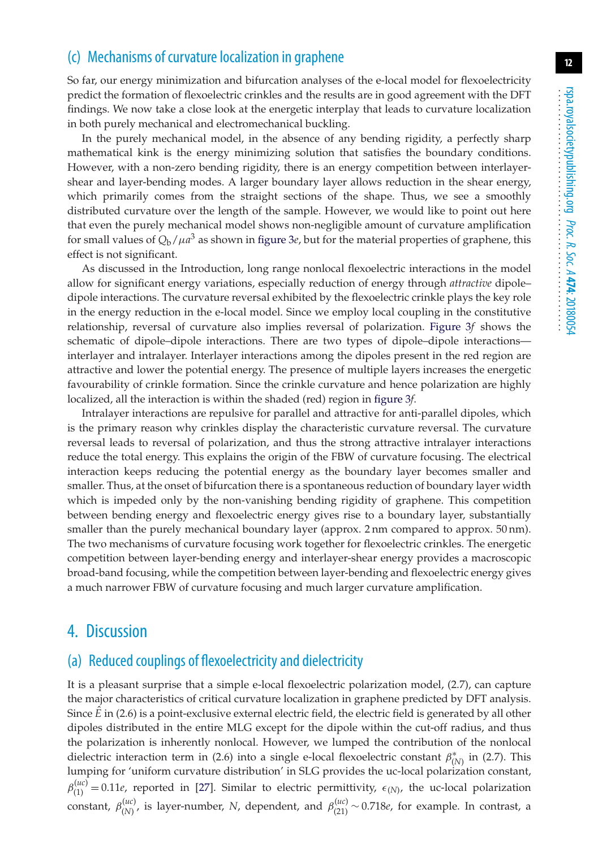### (c) Mechanisms of curvature localization in graphene

So far, our energy minimization and bifurcation analyses of the e-local model for flexoelectricity predict the formation of flexoelectric crinkles and the results are in good agreement with the DFT findings. We now take a close look at the energetic interplay that leads to curvature localization in both purely mechanical and electromechanical buckling.

In the purely mechanical model, in the absence of any bending rigidity, a perfectly sharp mathematical kink is the energy minimizing solution that satisfies the boundary conditions. However, with a non-zero bending rigidity, there is an energy competition between interlayershear and layer-bending modes. A larger boundary layer allows reduction in the shear energy, which primarily comes from the straight sections of the shape. Thus, we see a smoothly distributed curvature over the length of the sample. However, we would like to point out here that even the purely mechanical model shows non-negligible amount of curvature amplification for small values of *Q*b/μ*a*<sup>3</sup> as shown in [figure 3](#page-9-0)*e*, but for the material properties of graphene, this effect is not significant.

As discussed in the Introduction, long range nonlocal flexoelectric interactions in the model allow for significant energy variations, especially reduction of energy through *attractive* dipole– dipole interactions. The curvature reversal exhibited by the flexoelectric crinkle plays the key role in the energy reduction in the e-local model. Since we employ local coupling in the constitutive relationship, reversal of curvature also implies reversal of polarization. [Figure 3](#page-9-0)*f* shows the schematic of dipole–dipole interactions. There are two types of dipole–dipole interactions interlayer and intralayer. Interlayer interactions among the dipoles present in the red region are attractive and lower the potential energy. The presence of multiple layers increases the energetic favourability of crinkle formation. Since the crinkle curvature and hence polarization are highly localized, all the interaction is within the shaded (red) region in [figure 3](#page-9-0)*f*.

Intralayer interactions are repulsive for parallel and attractive for anti-parallel dipoles, which is the primary reason why crinkles display the characteristic curvature reversal. The curvature reversal leads to reversal of polarization, and thus the strong attractive intralayer interactions reduce the total energy. This explains the origin of the FBW of curvature focusing. The electrical interaction keeps reducing the potential energy as the boundary layer becomes smaller and smaller. Thus, at the onset of bifurcation there is a spontaneous reduction of boundary layer width which is impeded only by the non-vanishing bending rigidity of graphene. This competition between bending energy and flexoelectric energy gives rise to a boundary layer, substantially smaller than the purely mechanical boundary layer (approx. 2 nm compared to approx. 50 nm). The two mechanisms of curvature focusing work together for flexoelectric crinkles. The energetic competition between layer-bending energy and interlayer-shear energy provides a macroscopic broad-band focusing, while the competition between layer-bending and flexoelectric energy gives a much narrower FBW of curvature focusing and much larger curvature amplification.

### 4. Discussion

## (a) Reduced couplings of flexoelectricity and dielectricity

It is a pleasant surprise that a simple e-local flexoelectric polarization model, (2.7), can capture the major characteristics of critical curvature localization in graphene predicted by DFT analysis. Since  $\ddot{E}$  in (2.6) is a point-exclusive external electric field, the electric field is generated by all other dipoles distributed in the entire MLG except for the dipole within the cut-off radius, and thus the polarization is inherently nonlocal. However, we lumped the contribution of the nonlocal dielectric interaction term in (2.6) into a single e-local flexoelectric constant β<sup>∗</sup> (*N*) in (2.7). This lumping for 'uniform curvature distribution' in SLG provides the uc-local polarization constant,  $\beta_{(1)}^{(uc)} = 0.11e$ , reported in [\[27\]](#page-17-21). Similar to electric permittivity,  $\epsilon_{(N)}$ , the uc-local polarization constant,  $\beta_{(N)}^{(uc)}$ , is layer-number, *N*, dependent, and  $\beta_{(21)}^{(uc)} \sim 0.718e$ , for example. In contrast, a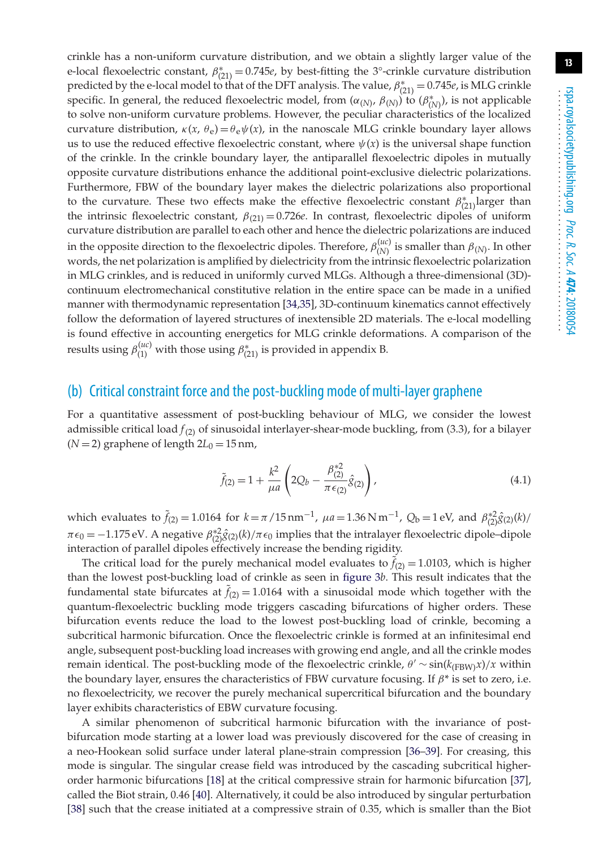crinkle has a non-uniform curvature distribution, and we obtain a slightly larger value of the e-local flexoelectric constant,  $\beta_{(21)}^* = 0.745e$ , by best-fitting the 3°-crinkle curvature distribution predicted by the e-local model to that of the DFT analysis. The value,  $\beta^*_{(21)} = 0.745e$ , is MLG crinkle specific. In general, the reduced flexoelectric model, from  $(\alpha_{(N)}, \beta_{(N)})$  to  $(\beta_{(N)}^*)$ , is not applicable to solve non-uniform curvature problems. However, the peculiar characteristics of the localized curvature distribution,  $\kappa(x, \theta_e) = \theta_e \psi(x)$ , in the nanoscale MLG crinkle boundary layer allows us to use the reduced effective flexoelectric constant, where  $\psi(x)$  is the universal shape function of the crinkle. In the crinkle boundary layer, the antiparallel flexoelectric dipoles in mutually opposite curvature distributions enhance the additional point-exclusive dielectric polarizations. Furthermore, FBW of the boundary layer makes the dielectric polarizations also proportional to the curvature. These two effects make the effective flexoelectric constant  $\beta^*_{(21)}$ larger than the intrinsic flexoelectric constant,  $\beta_{(21)} = 0.726e$ . In contrast, flexoelectric dipoles of uniform curvature distribution are parallel to each other and hence the dielectric polarizations are induced in the opposite direction to the flexoelectric dipoles. Therefore,  $\beta_{(N)}^{(uc)}$  is smaller than  $\beta_{(N)}$ . In other words, the net polarization is amplified by dielectricity from the intrinsic flexoelectric polarization in MLG crinkles, and is reduced in uniformly curved MLGs. Although a three-dimensional (3D) continuum electromechanical constitutive relation in the entire space can be made in a unified manner with thermodynamic representation [\[34](#page-18-6)[,35\]](#page-18-7), 3D-continuum kinematics cannot effectively follow the deformation of layered structures of inextensible 2D materials. The e-local modelling is found effective in accounting energetics for MLG crinkle deformations. A comparison of the results using  $\beta_{(1)}^{(uc)}$  with those using  $\beta_{(21)}^*$  is provided in appendix B.

#### (b) Critical constraint force and the post-buckling mode of multi-layer graphene

For a quantitative assessment of post-buckling behaviour of MLG, we consider the lowest admissible critical load  $f_{(2)}$  of sinusoidal interlayer-shear-mode buckling, from (3.3), for a bilayer  $(N=2)$  graphene of length  $2L_0 = 15$  nm,

$$
\tilde{f}_{(2)} = 1 + \frac{k^2}{\mu a} \left( 2Q_b - \frac{\beta_{(2)}^{*2}}{\pi \epsilon_{(2)}} \hat{S}_{(2)} \right),
$$
\n(4.1)

which evaluates to  $\tilde{f}_{(2)} = 1.0164$  for  $k = \pi/15$  nm<sup>-1</sup>,  $\mu a = 1.36$  N m<sup>-1</sup>,  $Q_b = 1$  eV, and  $\beta_{(2)}^{*2} \hat{g}_{(2)}(k)$ /  $π ∈_0 = −1.175$  eV. A negative  $β_{(2)}^{*2}$  $β_{(2)}(k)/π ∈_0$  implies that the intralayer flexoelectric dipole–dipole interaction of parallel dipoles effectively increase the bending rigidity.

The critical load for the purely mechanical model evaluates to  $\tilde{f}_{(2)} = 1.0103$ , which is higher than the lowest post-buckling load of crinkle as seen in [figure 3](#page-9-0)*b*. This result indicates that the fundamental state bifurcates at  $\tilde{f}_{(2)} = 1.0164$  with a sinusoidal mode which together with the quantum-flexoelectric buckling mode triggers cascading bifurcations of higher orders. These bifurcation events reduce the load to the lowest post-buckling load of crinkle, becoming a subcritical harmonic bifurcation. Once the flexoelectric crinkle is formed at an infinitesimal end angle, subsequent post-buckling load increases with growing end angle, and all the crinkle modes remain identical. The post-buckling mode of the flexoelectric crinkle, θ ∼ sin(*k*(FBW)*x*)/*x* within the boundary layer, ensures the characteristics of FBW curvature focusing. If  $\beta^*$  is set to zero, i.e. no flexoelectricity, we recover the purely mechanical supercritical bifurcation and the boundary layer exhibits characteristics of EBW curvature focusing.

A similar phenomenon of subcritical harmonic bifurcation with the invariance of postbifurcation mode starting at a lower load was previously discovered for the case of creasing in a neo-Hookean solid surface under lateral plane-strain compression [\[36–](#page-18-8)[39\]](#page-18-9). For creasing, this mode is singular. The singular crease field was introduced by the cascading subcritical higherorder harmonic bifurcations [\[18\]](#page-17-22) at the critical compressive strain for harmonic bifurcation [\[37\]](#page-18-10), called the Biot strain, 0.46 [\[40\]](#page-18-11). Alternatively, it could be also introduced by singular perturbation [\[38\]](#page-18-12) such that the crease initiated at a compressive strain of 0.35, which is smaller than the Biot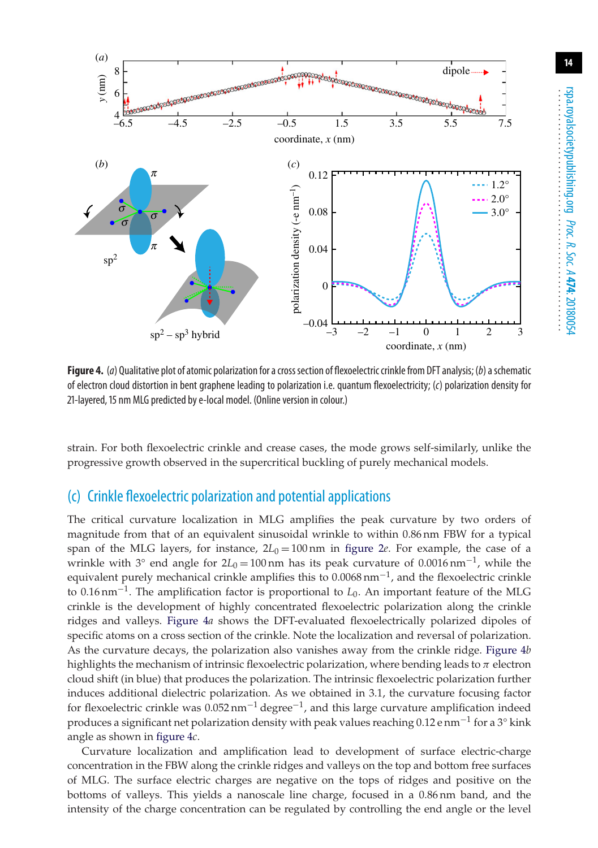<span id="page-13-0"></span>

**Figure 4.** (*a*) Qualitative plot of atomic polarization for a cross section of flexoelectric crinkle from DFT analysis; (*b*) a schematic of electron cloud distortion in bent graphene leading to polarization i.e. quantum flexoelectricity; (*c*) polarization density for 21-layered, 15 nm MLG predicted by e-local model. (Online version in colour.)

strain. For both flexoelectric crinkle and crease cases, the mode grows self-similarly, unlike the progressive growth observed in the supercritical buckling of purely mechanical models.

## (c) Crinkle flexoelectric polarization and potential applications

The critical curvature localization in MLG amplifies the peak curvature by two orders of magnitude from that of an equivalent sinusoidal wrinkle to within 0.86 nm FBW for a typical span of the MLG layers, for instance,  $2L_0 = 100$  nm in [figure 2](#page-4-0)*e*. For example, the case of a wrinkle with 3° end angle for  $2L_0 = 100$  nm has its peak curvature of 0.0016 nm<sup>-1</sup>, while the equivalent purely mechanical crinkle amplifies this to  $0.0068$  nm<sup>-1</sup>, and the flexoelectric crinkle to 0.16 nm<sup>−</sup>1. The amplification factor is proportional to *L*0. An important feature of the MLG crinkle is the development of highly concentrated flexoelectric polarization along the crinkle ridges and valleys. [Figure 4](#page-13-0)*a* shows the DFT-evaluated flexoelectrically polarized dipoles of specific atoms on a cross section of the crinkle. Note the localization and reversal of polarization. As the curvature decays, the polarization also vanishes away from the crinkle ridge. [Figure 4](#page-13-0)*b* highlights the mechanism of intrinsic flexoelectric polarization, where bending leads to  $\pi$  electron cloud shift (in blue) that produces the polarization. The intrinsic flexoelectric polarization further induces additional dielectric polarization. As we obtained in 3.1, the curvature focusing factor for flexoelectric crinkle was  $0.052$  nm<sup>-1</sup> degree<sup>-1</sup>, and this large curvature amplification indeed produces a significant net polarization density with peak values reaching 0.12 e nm<sup>-1</sup> for a 3° kink angle as shown in [figure 4](#page-13-0)*c*.

Curvature localization and amplification lead to development of surface electric-charge concentration in the FBW along the crinkle ridges and valleys on the top and bottom free surfaces of MLG. The surface electric charges are negative on the tops of ridges and positive on the bottoms of valleys. This yields a nanoscale line charge, focused in a 0.86 nm band, and the intensity of the charge concentration can be regulated by controlling the end angle or the level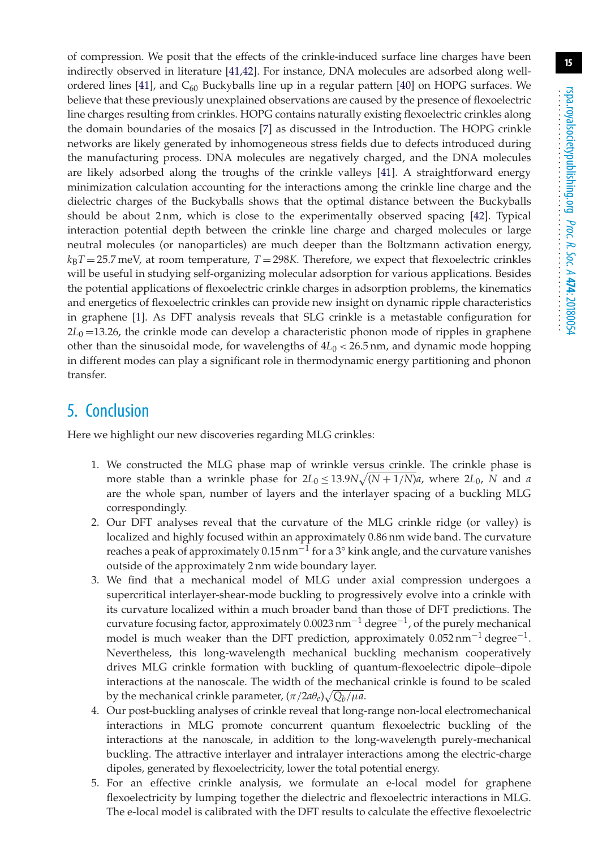of compression. We posit that the effects of the crinkle-induced surface line charges have been indirectly observed in literature [\[41,](#page-18-13)[42\]](#page-18-14). For instance, DNA molecules are adsorbed along well-ordered lines [\[41\]](#page-18-13), and  $C_{60}$  Buckyballs line up in a regular pattern [\[40\]](#page-18-11) on HOPG surfaces. We believe that these previously unexplained observations are caused by the presence of flexoelectric line charges resulting from crinkles. HOPG contains naturally existing flexoelectric crinkles along the domain boundaries of the mosaics [\[7\]](#page-17-5) as discussed in the Introduction. The HOPG crinkle networks are likely generated by inhomogeneous stress fields due to defects introduced during the manufacturing process. DNA molecules are negatively charged, and the DNA molecules are likely adsorbed along the troughs of the crinkle valleys [\[41\]](#page-18-13). A straightforward energy minimization calculation accounting for the interactions among the crinkle line charge and the dielectric charges of the Buckyballs shows that the optimal distance between the Buckyballs should be about 2 nm, which is close to the experimentally observed spacing [\[42\]](#page-18-14). Typical interaction potential depth between the crinkle line charge and charged molecules or large neutral molecules (or nanoparticles) are much deeper than the Boltzmann activation energy,  $k_B T = 25.7$  meV, at room temperature,  $T = 298K$ . Therefore, we expect that flexoelectric crinkles will be useful in studying self-organizing molecular adsorption for various applications. Besides the potential applications of flexoelectric crinkle charges in adsorption problems, the kinematics and energetics of flexoelectric crinkles can provide new insight on dynamic ripple characteristics in graphene [\[1\]](#page-17-0). As DFT analysis reveals that SLG crinkle is a metastable configuration for  $2L<sub>0</sub>=13.26$ , the crinkle mode can develop a characteristic phonon mode of ripples in graphene other than the sinusoidal mode, for wavelengths of 4*L*<sup>0</sup> < 26.5 nm, and dynamic mode hopping in different modes can play a significant role in thermodynamic energy partitioning and phonon transfer.

# 5. Conclusion

Here we highlight our new discoveries regarding MLG crinkles:

- 1. We constructed the MLG phase map of wrinkle versus crinkle. The crinkle phase is more stable than a wrinkle phase for  $2L_0 \leq 13.9N\sqrt{(N+1/N)a}$ , where  $2L_0$ , N and *a* are the whole span, number of layers and the interlayer spacing of a buckling MLG correspondingly.
- 2. Our DFT analyses reveal that the curvature of the MLG crinkle ridge (or valley) is localized and highly focused within an approximately 0.86 nm wide band. The curvature reaches a peak of approximately  $0.15$  nm<sup>-1</sup> for a 3 $^{\circ}$  kink angle, and the curvature vanishes outside of the approximately 2 nm wide boundary layer.
- 3. We find that a mechanical model of MLG under axial compression undergoes a supercritical interlayer-shear-mode buckling to progressively evolve into a crinkle with its curvature localized within a much broader band than those of DFT predictions. The curvature focusing factor, approximately  $0.0023$  nm<sup> $-1$ </sup> degree<sup>-1</sup>, of the purely mechanical model is much weaker than the DFT prediction, approximately  $0.052 \text{ nm}^{-1}$  degree<sup>-1</sup>. Nevertheless, this long-wavelength mechanical buckling mechanism cooperatively drives MLG crinkle formation with buckling of quantum-flexoelectric dipole–dipole interactions at the nanoscale. The width of the mechanical crinkle is found to be scaled by the mechanical crinkle parameter,  $(\pi/2a\theta_e)\sqrt{Q_b/\mu a}$ .
- 4. Our post-buckling analyses of crinkle reveal that long-range non-local electromechanical interactions in MLG promote concurrent quantum flexoelectric buckling of the interactions at the nanoscale, in addition to the long-wavelength purely-mechanical buckling. The attractive interlayer and intralayer interactions among the electric-charge dipoles, generated by flexoelectricity, lower the total potential energy.
- 5. For an effective crinkle analysis, we formulate an e-local model for graphene flexoelectricity by lumping together the dielectric and flexoelectric interactions in MLG. The e-local model is calibrated with the DFT results to calculate the effective flexoelectric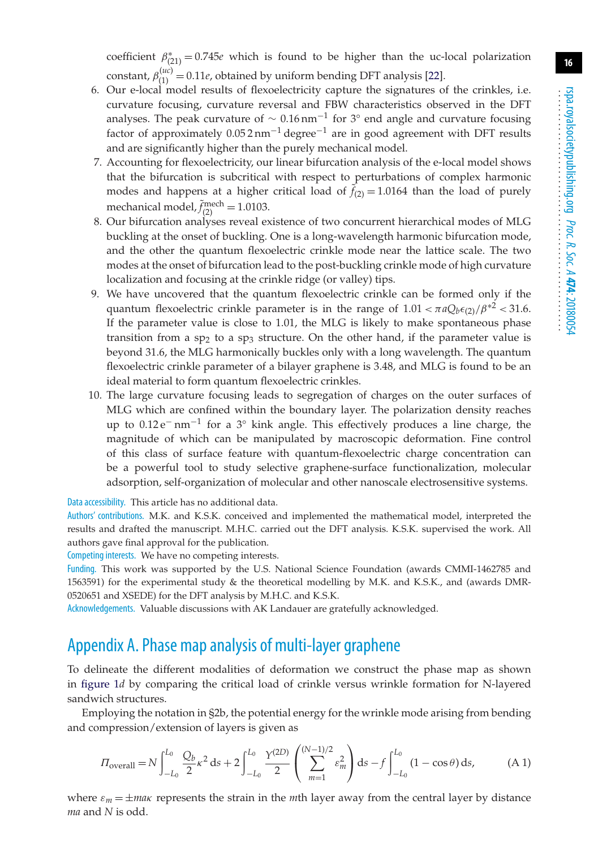coefficient  $\beta^*_{(21)} = 0.745e$  which is found to be higher than the uc-local polarization constant,  $\beta_{(1)}^{(uc)} = 0.11e$ , obtained by uniform bending DFT analysis [\[22\]](#page-17-23).

- 6. Our e-local model results of flexoelectricity capture the signatures of the crinkles, i.e. curvature focusing, curvature reversal and FBW characteristics observed in the DFT analyses. The peak curvature of  $\sim 0.16 \text{ nm}^{-1}$  for 3° end angle and curvature focusing factor of approximately  $0.052$  nm<sup>-1</sup> degree<sup>-1</sup> are in good agreement with DFT results and are significantly higher than the purely mechanical model.
- 7. Accounting for flexoelectricity, our linear bifurcation analysis of the e-local model shows that the bifurcation is subcritical with respect to perturbations of complex harmonic modes and happens at a higher critical load of  $\tilde{f}_{(2)} = 1.0164$  than the load of purely mechanical model,  $\tilde{f}_{(2)}^{\text{mech}} = 1.0103$ .
- 8. Our bifurcation analyses reveal existence of two concurrent hierarchical modes of MLG buckling at the onset of buckling. One is a long-wavelength harmonic bifurcation mode, and the other the quantum flexoelectric crinkle mode near the lattice scale. The two modes at the onset of bifurcation lead to the post-buckling crinkle mode of high curvature localization and focusing at the crinkle ridge (or valley) tips.
- 9. We have uncovered that the quantum flexoelectric crinkle can be formed only if the quantum flexoelectric crinkle parameter is in the range of  $1.01 < \pi a Q_b \epsilon_{(2)}/\beta^{*2} < 31.6$ . If the parameter value is close to 1.01, the MLG is likely to make spontaneous phase transition from a  $sp_2$  to a  $sp_3$  structure. On the other hand, if the parameter value is beyond 31.6, the MLG harmonically buckles only with a long wavelength. The quantum flexoelectric crinkle parameter of a bilayer graphene is 3.48, and MLG is found to be an ideal material to form quantum flexoelectric crinkles.
- 10. The large curvature focusing leads to segregation of charges on the outer surfaces of MLG which are confined within the boundary layer. The polarization density reaches up to  $0.12 e^{-}$  nm<sup>-1</sup> for a 3° kink angle. This effectively produces a line charge, the magnitude of which can be manipulated by macroscopic deformation. Fine control of this class of surface feature with quantum-flexoelectric charge concentration can be a powerful tool to study selective graphene-surface functionalization, molecular adsorption, self-organization of molecular and other nanoscale electrosensitive systems.

Data accessibility. This article has no additional data.

Authors' contributions. M.K. and K.S.K. conceived and implemented the mathematical model, interpreted the results and drafted the manuscript. M.H.C. carried out the DFT analysis. K.S.K. supervised the work. All authors gave final approval for the publication.

Competing interests. We have no competing interests.

Funding. This work was supported by the U.S. National Science Foundation (awards CMMI-1462785 and 1563591) for the experimental study & the theoretical modelling by M.K. and K.S.K., and (awards DMR-0520651 and XSEDE) for the DFT analysis by M.H.C. and K.S.K.

Acknowledgements. Valuable discussions with AK Landauer are gratefully acknowledged.

# Appendix A. Phase map analysis of multi-layer graphene

To delineate the different modalities of deformation we construct the phase map as shown in [figure 1](#page-2-0)*d* by comparing the critical load of crinkle versus wrinkle formation for N-layered sandwich structures.

Employing the notation in §2b, the potential energy for the wrinkle mode arising from bending and compression/extension of layers is given as

$$
\Pi_{\text{overall}} = N \int_{-L_0}^{L_0} \frac{Q_b}{2} \kappa^2 \, \mathrm{d}s + 2 \int_{-L_0}^{L_0} \frac{Y^{(2D)}}{2} \left( \sum_{m=1}^{(N-1)/2} \varepsilon_m^2 \right) \mathrm{d}s - f \int_{-L_0}^{L_0} (1 - \cos \theta) \, \mathrm{d}s,\tag{A.1}
$$

where  $\varepsilon_m = \pm m \alpha \kappa$  represents the strain in the *m*th layer away from the central layer by distance *ma* and *N* is odd.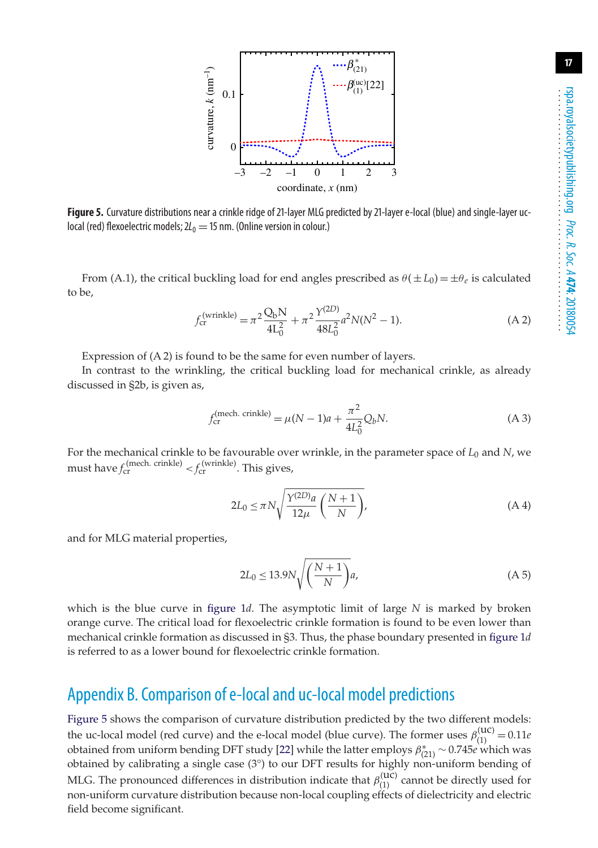<span id="page-16-0"></span>

**Figure 5.** Curvature distributions near a crinkle ridge of 21-layer MLG predicted by 21-layer e-local (blue) and single-layer uclocal (red) flexoelectric models;  $2L_0 = 15$  nm. (Online version in colour.)

From (A.1), the critical buckling load for end angles prescribed as  $\theta(\pm L_0) = \pm \theta_e$  is calculated to be,

$$
f_{\rm cr}^{\rm (wrinkle)} = \pi^2 \frac{Q_b N}{4L_0^2} + \pi^2 \frac{\gamma^{(2D)}}{48L_0^2} a^2 N(N^2 - 1).
$$
 (A 2)

Expression of (A 2) is found to be the same for even number of layers.

In contrast to the wrinkling, the critical buckling load for mechanical crinkle, as already discussed in §2b, is given as,

$$
f_{\rm cr}^{\rm (mech. \; crinkle)} = \mu (N - 1)a + \frac{\pi^2}{4L_0^2} Q_b N.
$$
 (A 3)

For the mechanical crinkle to be favourable over wrinkle, in the parameter space of *L*<sup>0</sup> and *N*, we must have  $f_{\rm cr}^{\rm (mech.~crinkle)} < f_{\rm cr}^{\rm (wrinkle)}$ . This gives,

$$
2L_0 \le \pi N \sqrt{\frac{\gamma^{(2D)}a}{12\mu} \left(\frac{N+1}{N}\right)},\tag{A.4}
$$

and for MLG material properties,

$$
2L_0 \le 13.9N \sqrt{\left(\frac{N+1}{N}\right)} a,\tag{A.5}
$$

which is the blue curve in [figure 1](#page-2-0)*d*. The asymptotic limit of large *N* is marked by broken orange curve. The critical load for flexoelectric crinkle formation is found to be even lower than mechanical crinkle formation as discussed in §3. Thus, the phase boundary presented in [figure 1](#page-2-0)*d* is referred to as a lower bound for flexoelectric crinkle formation.

# Appendix B. Comparison of e-local and uc-local model predictions

[Figure 5](#page-16-0) shows the comparison of curvature distribution predicted by the two different models: the uc-local model (red curve) and the e-local model (blue curve). The former uses  $\beta_{(1)}^{(UC)} = 0.11e$ obtained from uniform bending DFT study [\[22\]](#page-17-23) while the latter employs β<sup>∗</sup> (21) ∼ 0.745*e* which was obtained by calibrating a single case (3°) to our DFT results for highly non-uniform bending of MLG. The pronounced differences in distribution indicate that  $\beta_{(1)}^{(UC)}$  cannot be directly used for non-uniform curvature distribution because non-local coupling effects of dielectricity and electric field become significant.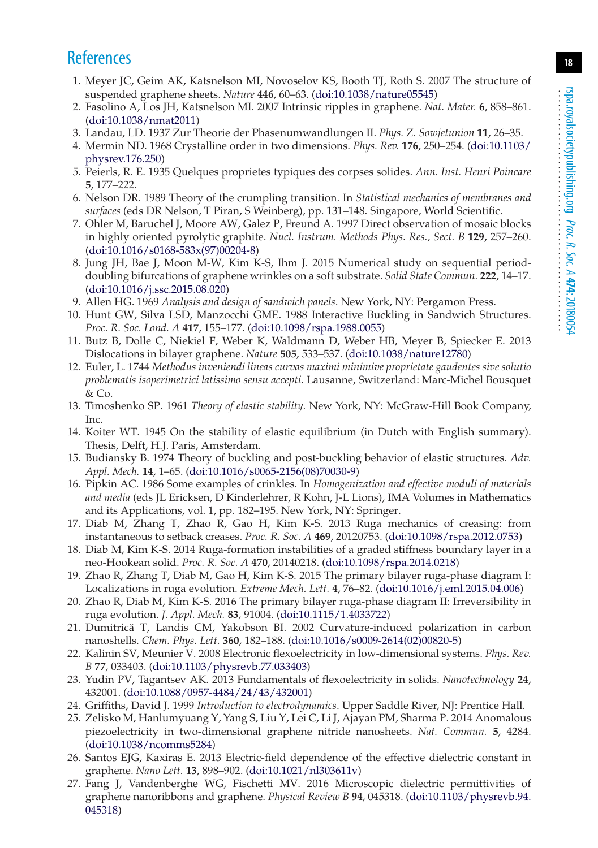**18**

# <span id="page-17-0"></span>**References**

- 1. Meyer JC, Geim AK, Katsnelson MI, Novoselov KS, Booth TJ, Roth S. 2007 The structure of suspended graphene sheets. *Nature* **446**, 60–63. [\(doi:10.1038/nature05545\)](http://dx.doi.org/10.1038/nature05545)
- <span id="page-17-1"></span>2. Fasolino A, Los JH, Katsnelson MI. 2007 Intrinsic ripples in graphene. *Nat. Mater.* **6**, 858–861. [\(doi:10.1038/nmat2011\)](http://dx.doi.org/10.1038/nmat2011)
- <span id="page-17-2"></span>3. Landau, LD. 1937 Zur Theorie der Phasenumwandlungen II. *Phys. Z. Sowjetunion* **11**, 26–35.
- 4. Mermin ND. 1968 Crystalline order in two dimensions. *Phys. Rev.* **176**, 250–254. [\(doi:10.1103/](http://dx.doi.org/10.1103/physrev.176.250) [physrev.176.250\)](http://dx.doi.org/10.1103/physrev.176.250)
- <span id="page-17-3"></span>5. Peierls, R. E. 1935 Quelques proprietes typiques des corpses solides. *Ann. Inst. Henri Poincare* **5**, 177–222.
- <span id="page-17-4"></span>6. Nelson DR. 1989 Theory of the crumpling transition. In *Statistical mechanics of membranes and surfaces* (eds DR Nelson, T Piran, S Weinberg), pp. 131–148. Singapore, World Scientific.
- <span id="page-17-5"></span>7. Ohler M, Baruchel J, Moore AW, Galez P, Freund A. 1997 Direct observation of mosaic blocks in highly oriented pyrolytic graphite. *Nucl. Instrum. Methods Phys. Res., Sect. B* **129**, 257–260. [\(doi:10.1016/s0168-583x\(97\)00204-8\)](http://dx.doi.org/10.1016/s0168-583x(97)00204-8)
- <span id="page-17-6"></span>8. Jung JH, Bae J, Moon M-W, Kim K-S, Ihm J. 2015 Numerical study on sequential perioddoubling bifurcations of graphene wrinkles on a soft substrate. *Solid State Commun.* **222**, 14–17. [\(doi:10.1016/j.ssc.2015.08.020\)](http://dx.doi.org/10.1016/j.ssc.2015.08.020)
- <span id="page-17-8"></span><span id="page-17-7"></span>9. Allen HG. 1969 *Analysis and design of sandwich panels*. New York, NY: Pergamon Press.
- 10. Hunt GW, Silva LSD, Manzocchi GME. 1988 Interactive Buckling in Sandwich Structures. *Proc. R. Soc. Lond. A* **417**, 155–177. [\(doi:10.1098/rspa.1988.0055\)](http://dx.doi.org/10.1098/rspa.1988.0055)
- <span id="page-17-9"></span>11. Butz B, Dolle C, Niekiel F, Weber K, Waldmann D, Weber HB, Meyer B, Spiecker E. 2013 Dislocations in bilayer graphene. *Nature* **505**, 533–537. [\(doi:10.1038/nature12780\)](http://dx.doi.org/10.1038/nature12780)
- <span id="page-17-10"></span>12. Euler, L. 1744 *Methodus inveniendi lineas curvas maximi minimive proprietate gaudentes sive solutio problematis isoperimetrici latissimo sensu accepti*. Lausanne, Switzerland: Marc-Michel Bousquet & Co.
- <span id="page-17-11"></span>13. Timoshenko SP. 1961 *Theory of elastic stability*. New York, NY: McGraw-Hill Book Company, Inc.
- 14. Koiter WT. 1945 On the stability of elastic equilibrium (in Dutch with English summary). Thesis, Delft, H.J. Paris, Amsterdam.
- <span id="page-17-12"></span>15. Budiansky B. 1974 Theory of buckling and post-buckling behavior of elastic structures. *Adv. Appl. Mech.* **14**, 1–65. [\(doi:10.1016/s0065-2156\(08\)70030-9\)](http://dx.doi.org/10.1016/s0065-2156(08)70030-9)
- <span id="page-17-13"></span>16. Pipkin AC. 1986 Some examples of crinkles. In *Homogenization and effective moduli of materials and media* (eds JL Ericksen, D Kinderlehrer, R Kohn, J-L Lions), IMA Volumes in Mathematics and its Applications, vol. 1, pp. 182–195. New York, NY: Springer.
- <span id="page-17-14"></span>17. Diab M, Zhang T, Zhao R, Gao H, Kim K-S. 2013 Ruga mechanics of creasing: from instantaneous to setback creases. *Proc. R. Soc. A* **469**, 20120753. [\(doi:10.1098/rspa.2012.0753\)](http://dx.doi.org/10.1098/rspa.2012.0753)
- <span id="page-17-22"></span>18. Diab M, Kim K-S. 2014 Ruga-formation instabilities of a graded stiffness boundary layer in a neo-Hookean solid. *Proc. R. Soc. A* **470**, 20140218. [\(doi:10.1098/rspa.2014.0218\)](http://dx.doi.org/10.1098/rspa.2014.0218)
- 19. Zhao R, Zhang T, Diab M, Gao H, Kim K-S. 2015 The primary bilayer ruga-phase diagram I: Localizations in ruga evolution. *Extreme Mech. Lett.* **4**, 76–82. [\(doi:10.1016/j.eml.2015.04.006\)](http://dx.doi.org/10.1016/j.eml.2015.04.006)
- <span id="page-17-15"></span>20. Zhao R, Diab M, Kim K-S. 2016 The primary bilayer ruga-phase diagram II: Irreversibility in ruga evolution. *J. Appl. Mech.* **83**, 91004. [\(doi:10.1115/1.4033722\)](http://dx.doi.org/10.1115/1.4033722)
- <span id="page-17-16"></span>21. Dumitrică T, Landis CM, Yakobson BI. 2002 Curvature-induced polarization in carbon nanoshells. *Chem. Phys. Lett.* **360**, 182–188. [\(doi:10.1016/s0009-2614\(02\)00820-5\)](http://dx.doi.org/10.1016/s0009-2614(02)00820-5)
- <span id="page-17-23"></span>22. Kalinin SV, Meunier V. 2008 Electronic flexoelectricity in low-dimensional systems. *Phys. Rev. B* **77**, 033403. [\(doi:10.1103/physrevb.77.033403\)](http://dx.doi.org/10.1103/physrevb.77.033403)
- <span id="page-17-17"></span>23. Yudin PV, Tagantsev AK. 2013 Fundamentals of flexoelectricity in solids. *Nanotechnology* **24**, 432001. [\(doi:10.1088/0957-4484/24/43/432001\)](http://dx.doi.org/10.1088/0957-4484/24/43/432001)
- <span id="page-17-19"></span><span id="page-17-18"></span>24. Griffiths, David J. 1999 *Introduction to electrodynamics*. Upper Saddle River, NJ: Prentice Hall.
- 25. Zelisko M, Hanlumyuang Y, Yang S, Liu Y, Lei C, Li J, Ajayan PM, Sharma P. 2014 Anomalous piezoelectricity in two-dimensional graphene nitride nanosheets. *Nat. Commun.* **5**, 4284. [\(doi:10.1038/ncomms5284\)](http://dx.doi.org/10.1038/ncomms5284)
- <span id="page-17-20"></span>26. Santos EJG, Kaxiras E. 2013 Electric-field dependence of the effective dielectric constant in graphene. *Nano Lett.* **13**, 898–902. [\(doi:10.1021/nl303611v\)](http://dx.doi.org/10.1021/nl303611v)
- <span id="page-17-21"></span>27. Fang J, Vandenberghe WG, Fischetti MV. 2016 Microscopic dielectric permittivities of graphene nanoribbons and graphene. *Physical Review B* **94**, 045318. [\(doi:10.1103/physrevb.94.](http://dx.doi.org/10.1103/physrevb.94.045318) [045318\)](http://dx.doi.org/10.1103/physrevb.94.045318)